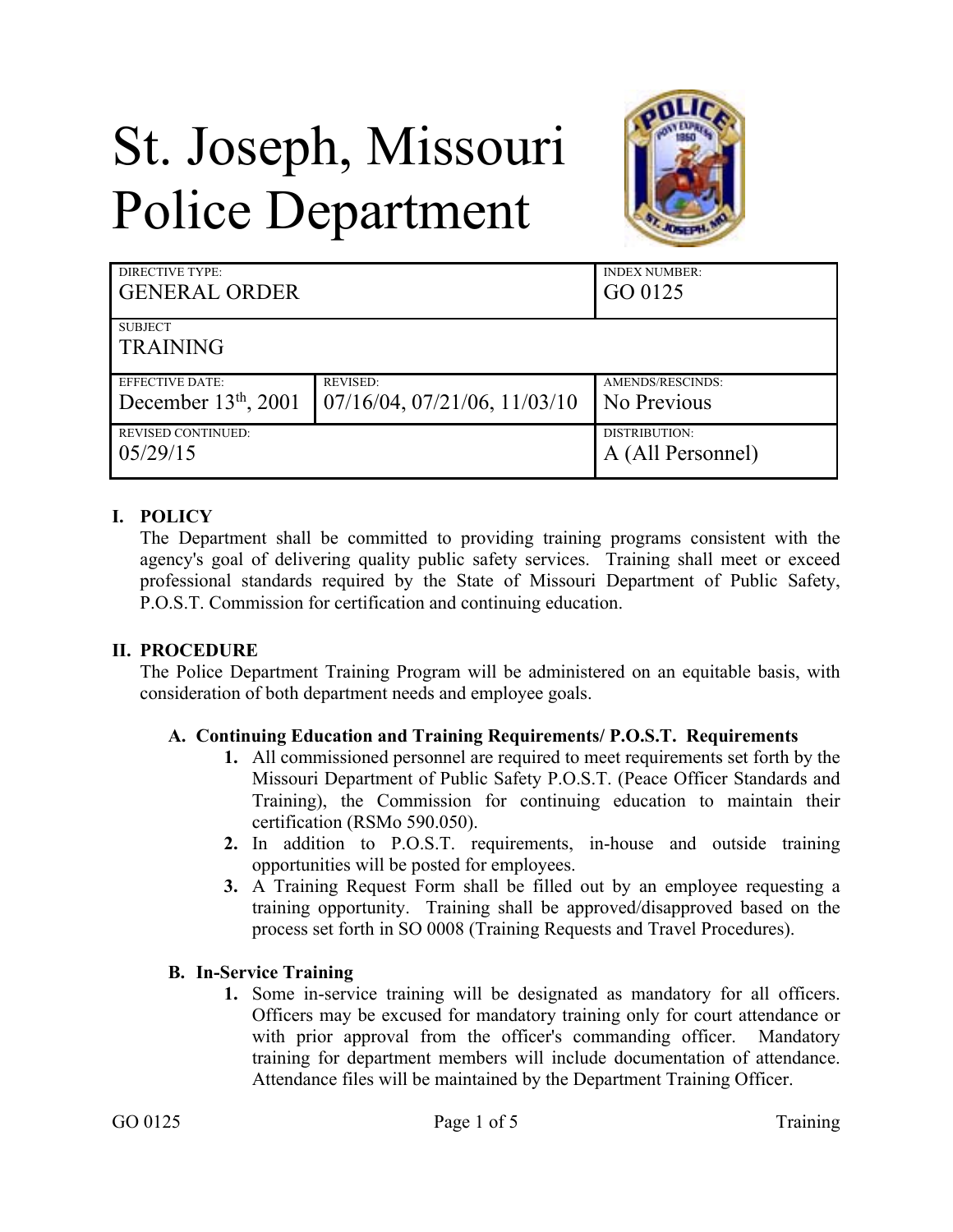# St. Joseph, Missouri Police Department



| <b>DIRECTIVE TYPE:</b><br><b>GENERAL ORDER</b>   |                                                         | <b>INDEX NUMBER:</b><br>GO 0125    |
|--------------------------------------------------|---------------------------------------------------------|------------------------------------|
| <b>SUBJECT</b><br><b>TRAINING</b>                |                                                         |                                    |
| <b>EFFECTIVE DATE:</b><br>December $13th$ , 2001 | <b>REVISED:</b><br>$07/16/04$ , $07/21/06$ , $11/03/10$ | AMENDS/RESCINDS:<br>No Previous    |
| <b>REVISED CONTINUED:</b><br>05/29/15            |                                                         | DISTRIBUTION:<br>A (All Personnel) |

## **I. POLICY**

The Department shall be committed to providing training programs consistent with the agency's goal of delivering quality public safety services. Training shall meet or exceed professional standards required by the State of Missouri Department of Public Safety, P.O.S.T. Commission for certification and continuing education.

#### **II. PROCEDURE**

The Police Department Training Program will be administered on an equitable basis, with consideration of both department needs and employee goals.

#### **A. Continuing Education and Training Requirements/ P.O.S.T. Requirements**

- **1.** All commissioned personnel are required to meet requirements set forth by the Missouri Department of Public Safety P.O.S.T. (Peace Officer Standards and Training), the Commission for continuing education to maintain their certification (RSMo 590.050).
- **2.** In addition to P.O.S.T. requirements, in-house and outside training opportunities will be posted for employees.
- **3.** A Training Request Form shall be filled out by an employee requesting a training opportunity. Training shall be approved/disapproved based on the process set forth in SO 0008 (Training Requests and Travel Procedures).

#### **B. In-Service Training**

**1.** Some in-service training will be designated as mandatory for all officers. Officers may be excused for mandatory training only for court attendance or with prior approval from the officer's commanding officer. Mandatory training for department members will include documentation of attendance. Attendance files will be maintained by the Department Training Officer.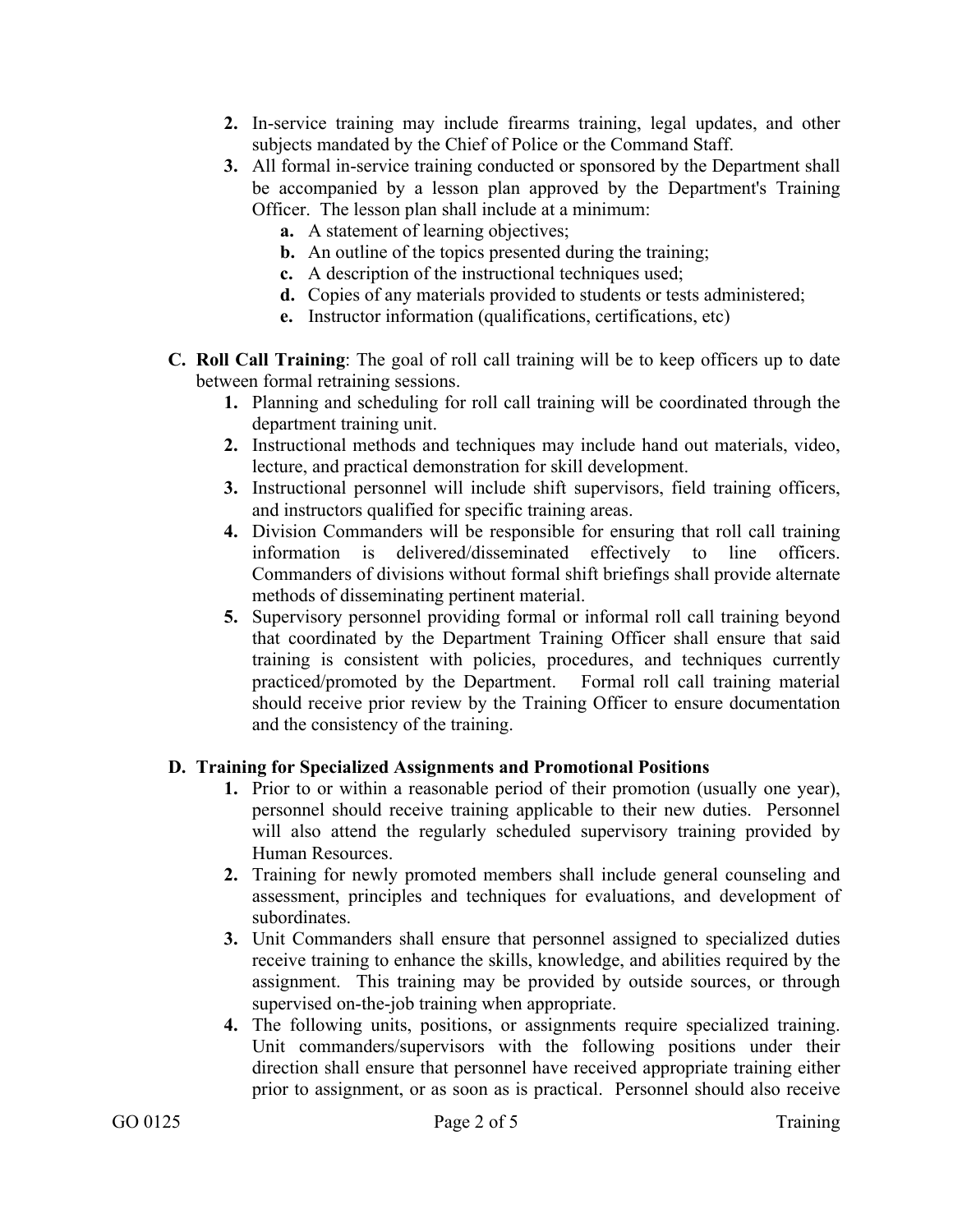- **2.** In-service training may include firearms training, legal updates, and other subjects mandated by the Chief of Police or the Command Staff.
- **3.** All formal in-service training conducted or sponsored by the Department shall be accompanied by a lesson plan approved by the Department's Training Officer. The lesson plan shall include at a minimum:
	- **a.** A statement of learning objectives;
	- **b.** An outline of the topics presented during the training;
	- **c.** A description of the instructional techniques used;
	- **d.** Copies of any materials provided to students or tests administered;
	- **e.** Instructor information (qualifications, certifications, etc)
- **C. Roll Call Training**: The goal of roll call training will be to keep officers up to date between formal retraining sessions.
	- **1.** Planning and scheduling for roll call training will be coordinated through the department training unit.
	- **2.** Instructional methods and techniques may include hand out materials, video, lecture, and practical demonstration for skill development.
	- **3.** Instructional personnel will include shift supervisors, field training officers, and instructors qualified for specific training areas.
	- **4.** Division Commanders will be responsible for ensuring that roll call training information is delivered/disseminated effectively to line officers. Commanders of divisions without formal shift briefings shall provide alternate methods of disseminating pertinent material.
	- **5.** Supervisory personnel providing formal or informal roll call training beyond that coordinated by the Department Training Officer shall ensure that said training is consistent with policies, procedures, and techniques currently practiced/promoted by the Department. Formal roll call training material should receive prior review by the Training Officer to ensure documentation and the consistency of the training.

#### **D. Training for Specialized Assignments and Promotional Positions**

- **1.** Prior to or within a reasonable period of their promotion (usually one year), personnel should receive training applicable to their new duties. Personnel will also attend the regularly scheduled supervisory training provided by Human Resources.
- **2.** Training for newly promoted members shall include general counseling and assessment, principles and techniques for evaluations, and development of subordinates.
- **3.** Unit Commanders shall ensure that personnel assigned to specialized duties receive training to enhance the skills, knowledge, and abilities required by the assignment. This training may be provided by outside sources, or through supervised on-the-job training when appropriate.
- **4.** The following units, positions, or assignments require specialized training. Unit commanders/supervisors with the following positions under their direction shall ensure that personnel have received appropriate training either prior to assignment, or as soon as is practical. Personnel should also receive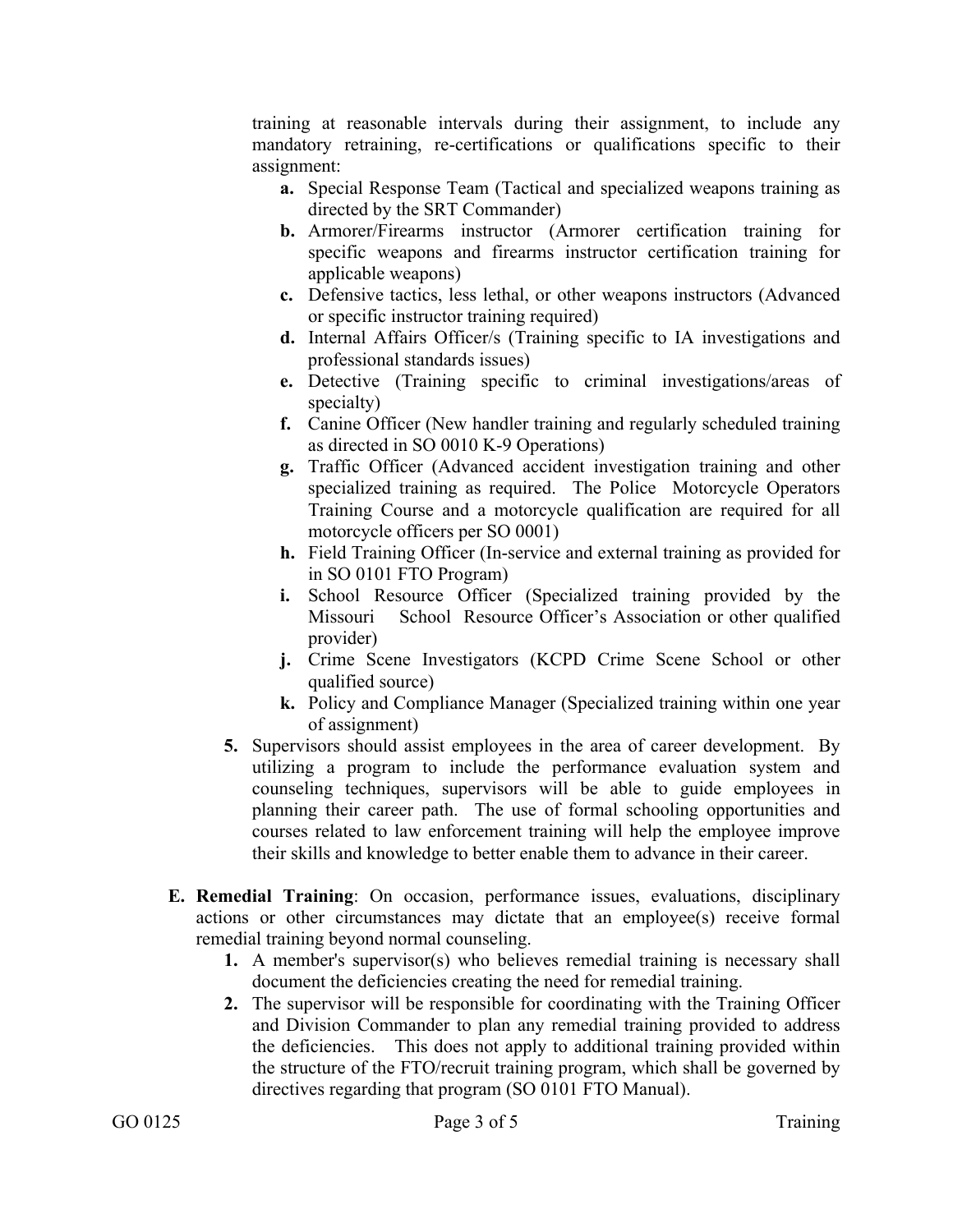training at reasonable intervals during their assignment, to include any mandatory retraining, re-certifications or qualifications specific to their assignment:

- **a.** Special Response Team (Tactical and specialized weapons training as directed by the SRT Commander)
- **b.** Armorer/Firearms instructor (Armorer certification training for specific weapons and firearms instructor certification training for applicable weapons)
- **c.** Defensive tactics, less lethal, or other weapons instructors (Advanced or specific instructor training required)
- **d.** Internal Affairs Officer/s (Training specific to IA investigations and professional standards issues)
- **e.** Detective (Training specific to criminal investigations/areas of specialty)
- **f.** Canine Officer (New handler training and regularly scheduled training as directed in SO 0010 K-9 Operations)
- **g.** Traffic Officer (Advanced accident investigation training and other specialized training as required. The Police Motorcycle Operators Training Course and a motorcycle qualification are required for all motorcycle officers per SO 0001)
- **h.** Field Training Officer (In-service and external training as provided for in SO 0101 FTO Program)
- **i.** School Resource Officer (Specialized training provided by the Missouri School Resource Officer's Association or other qualified provider)
- **j.** Crime Scene Investigators (KCPD Crime Scene School or other qualified source)
- **k.** Policy and Compliance Manager (Specialized training within one year of assignment)
- **5.** Supervisors should assist employees in the area of career development. By utilizing a program to include the performance evaluation system and counseling techniques, supervisors will be able to guide employees in planning their career path. The use of formal schooling opportunities and courses related to law enforcement training will help the employee improve their skills and knowledge to better enable them to advance in their career.
- **E. Remedial Training**: On occasion, performance issues, evaluations, disciplinary actions or other circumstances may dictate that an employee(s) receive formal remedial training beyond normal counseling.
	- **1.** A member's supervisor(s) who believes remedial training is necessary shall document the deficiencies creating the need for remedial training.
	- **2.** The supervisor will be responsible for coordinating with the Training Officer and Division Commander to plan any remedial training provided to address the deficiencies. This does not apply to additional training provided within the structure of the FTO/recruit training program, which shall be governed by directives regarding that program (SO 0101 FTO Manual).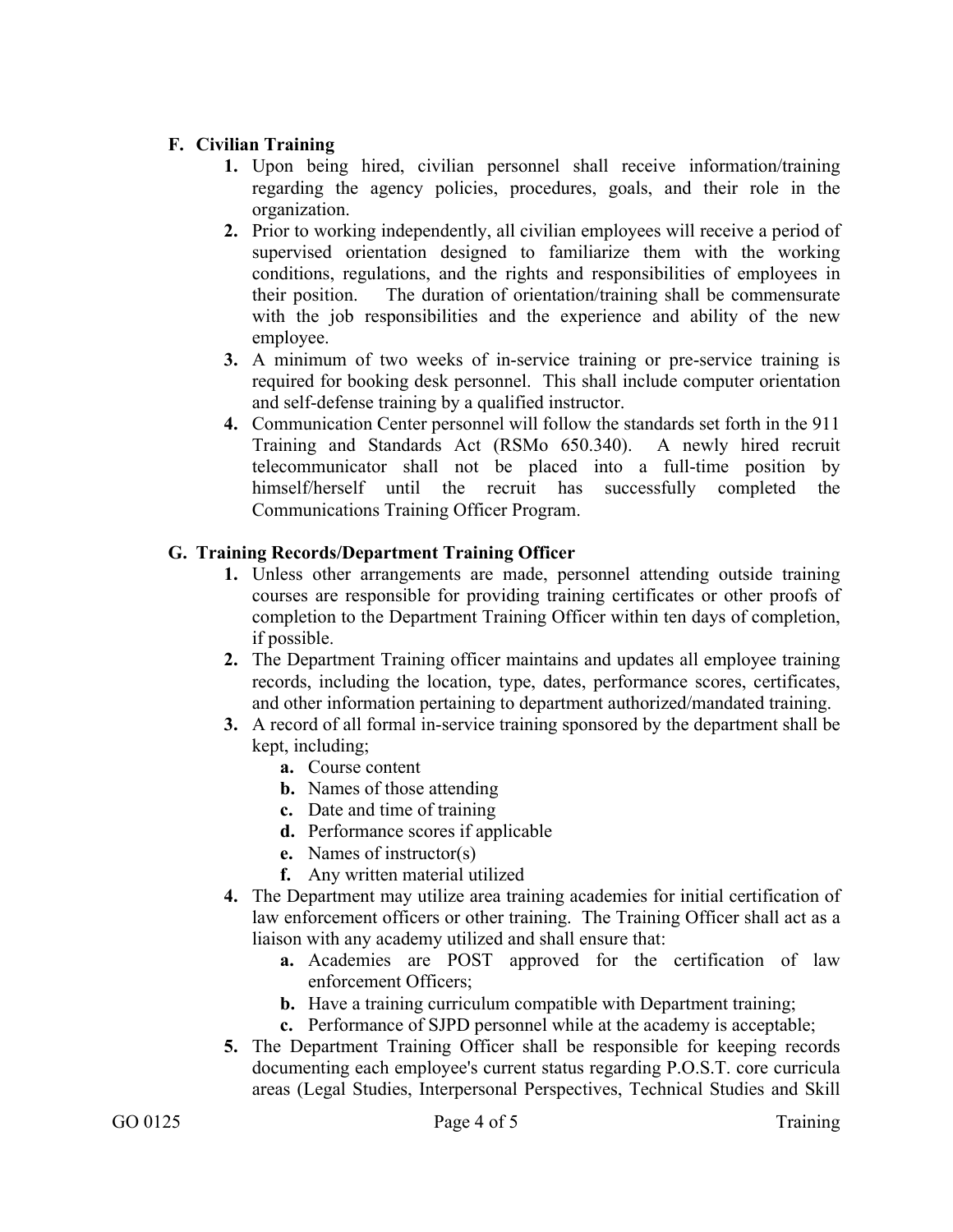## **F. Civilian Training**

- **1.** Upon being hired, civilian personnel shall receive information/training regarding the agency policies, procedures, goals, and their role in the organization.
- **2.** Prior to working independently, all civilian employees will receive a period of supervised orientation designed to familiarize them with the working conditions, regulations, and the rights and responsibilities of employees in their position. The duration of orientation/training shall be commensurate with the job responsibilities and the experience and ability of the new employee.
- **3.** A minimum of two weeks of in-service training or pre-service training is required for booking desk personnel. This shall include computer orientation and self-defense training by a qualified instructor.
- **4.** Communication Center personnel will follow the standards set forth in the 911 Training and Standards Act (RSMo 650.340). A newly hired recruit telecommunicator shall not be placed into a full-time position by himself/herself until the recruit has successfully completed the Communications Training Officer Program.

### **G. Training Records/Department Training Officer**

- **1.** Unless other arrangements are made, personnel attending outside training courses are responsible for providing training certificates or other proofs of completion to the Department Training Officer within ten days of completion, if possible.
- **2.** The Department Training officer maintains and updates all employee training records, including the location, type, dates, performance scores, certificates, and other information pertaining to department authorized/mandated training.
- **3.** A record of all formal in-service training sponsored by the department shall be kept, including;
	- **a.** Course content
	- **b.** Names of those attending
	- **c.** Date and time of training
	- **d.** Performance scores if applicable
	- **e.** Names of instructor(s)
	- **f.** Any written material utilized
- **4.** The Department may utilize area training academies for initial certification of law enforcement officers or other training. The Training Officer shall act as a liaison with any academy utilized and shall ensure that:
	- **a.** Academies are POST approved for the certification of law enforcement Officers;
	- **b.** Have a training curriculum compatible with Department training;
	- **c.** Performance of SJPD personnel while at the academy is acceptable;
- **5.** The Department Training Officer shall be responsible for keeping records documenting each employee's current status regarding P.O.S.T. core curricula areas (Legal Studies, Interpersonal Perspectives, Technical Studies and Skill